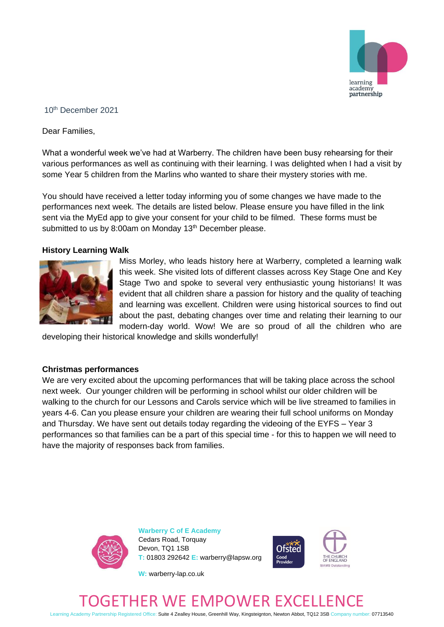

## 10th December 2021

Dear Families,

What a wonderful week we've had at Warberry. The children have been busy rehearsing for their various performances as well as continuing with their learning. I was delighted when I had a visit by some Year 5 children from the Marlins who wanted to share their mystery stories with me.

You should have received a letter today informing you of some changes we have made to the performances next week. The details are listed below. Please ensure you have filled in the link sent via the MyEd app to give your consent for your child to be filmed. These forms must be submitted to us by 8:00am on Monday 13<sup>th</sup> December please.

### **History Learning Walk**



Miss Morley, who leads history here at Warberry, completed a learning walk this week. She visited lots of different classes across Key Stage One and Key Stage Two and spoke to several very enthusiastic young historians! It was evident that all children share a passion for history and the quality of teaching and learning was excellent. Children were using historical sources to find out about the past, debating changes over time and relating their learning to our modern-day world. Wow! We are so proud of all the children who are

developing their historical knowledge and skills wonderfully!

#### **Christmas performances**

We are very excited about the upcoming performances that will be taking place across the school next week. Our younger children will be performing in school whilst our older children will be walking to the church for our Lessons and Carols service which will be live streamed to families in years 4-6. Can you please ensure your children are wearing their full school uniforms on Monday and Thursday. We have sent out details today regarding the videoing of the EYFS – Year 3 performances so that families can be a part of this special time - for this to happen we will need to have the majority of responses back from families.



**Warberry C of E Academy** Cedars Road, Torquay Devon, TQ1 1SB **T:** 01803 292642 **E:** warberry@lapsw.org



**W:** warberry-lap.co.uk

# ER WE EMPOWER EXC

Learning Academy Partnership Registered Office: Suite 4 Zealley House, Greenhill Way, Kingsteignton, Newton Abbot, TQ12 3SB Company number: 07713540